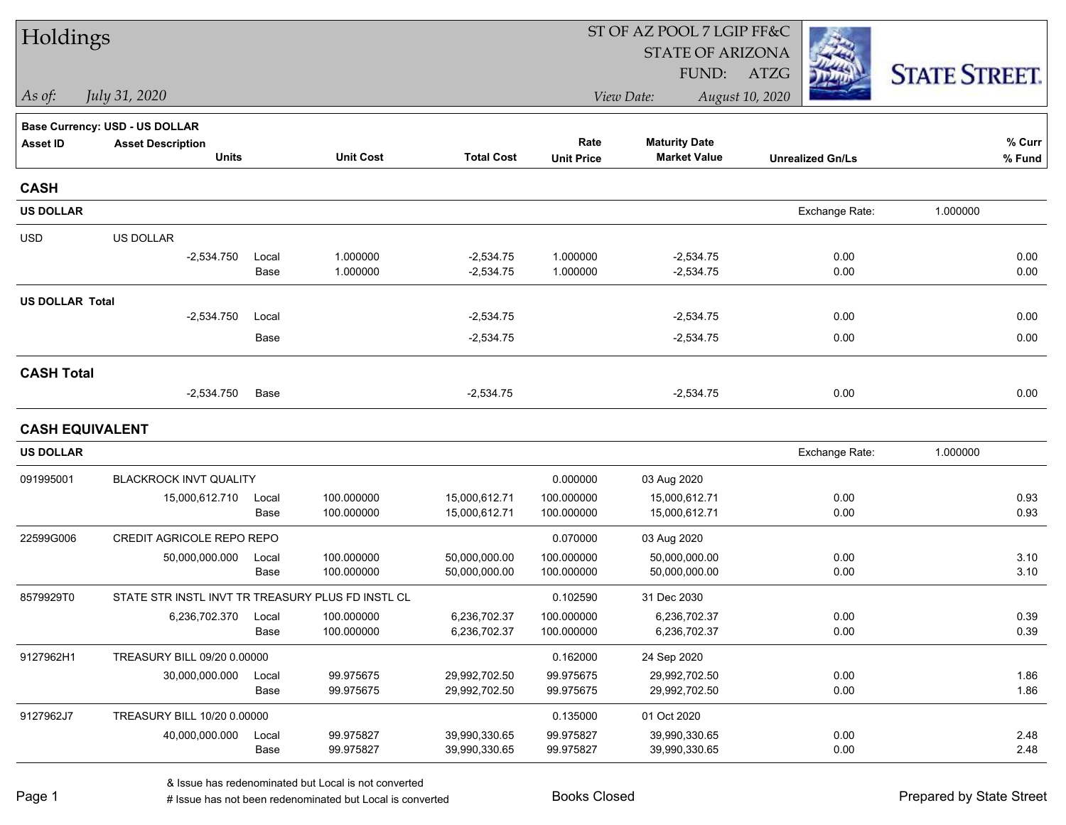| Holdings               |                                                   |               |                        |                                | ST OF AZ POOL 7 LGIP FF&C |                                |                         |                      |  |
|------------------------|---------------------------------------------------|---------------|------------------------|--------------------------------|---------------------------|--------------------------------|-------------------------|----------------------|--|
|                        |                                                   |               |                        |                                |                           | <b>STATE OF ARIZONA</b>        |                         |                      |  |
|                        |                                                   |               |                        |                                |                           | FUND:                          | ATZG                    | <b>STATE STREET.</b> |  |
| As of:                 | July 31, 2020                                     |               |                        |                                |                           | View Date:                     | August 10, 2020         |                      |  |
|                        | Base Currency: USD - US DOLLAR                    |               |                        |                                |                           |                                |                         |                      |  |
| <b>Asset ID</b>        | <b>Asset Description</b>                          |               |                        |                                | Rate                      | <b>Maturity Date</b>           |                         | % Curr               |  |
|                        | <b>Units</b>                                      |               | <b>Unit Cost</b>       | <b>Total Cost</b>              | <b>Unit Price</b>         | <b>Market Value</b>            | <b>Unrealized Gn/Ls</b> | % Fund               |  |
| <b>CASH</b>            |                                                   |               |                        |                                |                           |                                |                         |                      |  |
| <b>US DOLLAR</b>       |                                                   |               |                        |                                |                           |                                | Exchange Rate:          | 1.000000             |  |
| <b>USD</b>             | US DOLLAR                                         |               |                        |                                |                           |                                |                         |                      |  |
|                        | $-2,534.750$                                      | Local         | 1.000000               | $-2,534.75$                    | 1.000000                  | $-2,534.75$                    | 0.00                    | 0.00                 |  |
|                        |                                                   | Base          | 1.000000               | $-2,534.75$                    | 1.000000                  | $-2,534.75$                    | 0.00                    | 0.00                 |  |
| <b>US DOLLAR Total</b> |                                                   |               |                        |                                |                           |                                |                         |                      |  |
|                        | $-2,534.750$                                      | Local         |                        | $-2,534.75$                    |                           | $-2,534.75$                    | 0.00                    | 0.00                 |  |
|                        |                                                   | Base          |                        | $-2,534.75$                    |                           | $-2,534.75$                    | 0.00                    | 0.00                 |  |
| <b>CASH Total</b>      |                                                   |               |                        |                                |                           |                                |                         |                      |  |
|                        | $-2,534.750$                                      | Base          |                        | $-2,534.75$                    |                           | $-2,534.75$                    | 0.00                    | 0.00                 |  |
|                        | <b>CASH EQUIVALENT</b>                            |               |                        |                                |                           |                                |                         |                      |  |
| <b>US DOLLAR</b>       |                                                   |               |                        |                                |                           |                                | Exchange Rate:          | 1.000000             |  |
| 091995001              | BLACKROCK INVT QUALITY                            |               |                        |                                | 0.000000                  | 03 Aug 2020                    |                         |                      |  |
|                        | 15,000,612.710                                    | Local         | 100.000000             | 15,000,612.71                  | 100.000000                | 15,000,612.71                  | 0.00                    | 0.93                 |  |
|                        |                                                   | Base          | 100.000000             | 15,000,612.71                  | 100.000000                | 15,000,612.71                  | 0.00                    | 0.93                 |  |
| 22599G006              | CREDIT AGRICOLE REPO REPO                         |               |                        |                                | 0.070000                  | 03 Aug 2020                    |                         |                      |  |
|                        | 50,000,000.000                                    | Local         | 100.000000             | 50,000,000.00                  | 100.000000                | 50,000,000.00                  | 0.00                    | 3.10                 |  |
|                        |                                                   | Base          | 100.000000             | 50,000,000.00                  | 100.000000                | 50,000,000.00                  | 0.00                    | 3.10                 |  |
| 8579929T0              | STATE STR INSTL INVT TR TREASURY PLUS FD INSTL CL |               |                        |                                | 0.102590                  | 31 Dec 2030                    |                         |                      |  |
|                        | 6,236,702.370                                     | Local         | 100.000000             | 6,236,702.37                   | 100.000000                | 6,236,702.37                   | 0.00                    | 0.39                 |  |
|                        |                                                   | Base          | 100.000000             | 6,236,702.37                   | 100.000000                | 6,236,702.37                   | 0.00                    | 0.39                 |  |
| 9127962H1              | TREASURY BILL 09/20 0.00000                       |               |                        |                                | 0.162000                  | 24 Sep 2020                    |                         |                      |  |
|                        | 30,000,000.000                                    | Local<br>Base | 99.975675<br>99.975675 | 29,992,702.50<br>29,992,702.50 | 99.975675<br>99.975675    | 29,992,702.50<br>29,992,702.50 | 0.00<br>0.00            | 1.86<br>1.86         |  |
|                        |                                                   |               |                        |                                |                           |                                |                         |                      |  |
| 9127962J7              | TREASURY BILL 10/20 0.00000                       |               |                        |                                | 0.135000                  | 01 Oct 2020                    |                         |                      |  |
|                        | 40,000,000.000                                    | Local<br>Base | 99.975827<br>99.975827 | 39,990,330.65<br>39,990,330.65 | 99.975827<br>99.975827    | 39,990,330.65<br>39,990,330.65 | 0.00<br>0.00            | 2.48<br>2.48         |  |
|                        |                                                   |               |                        |                                |                           |                                |                         |                      |  |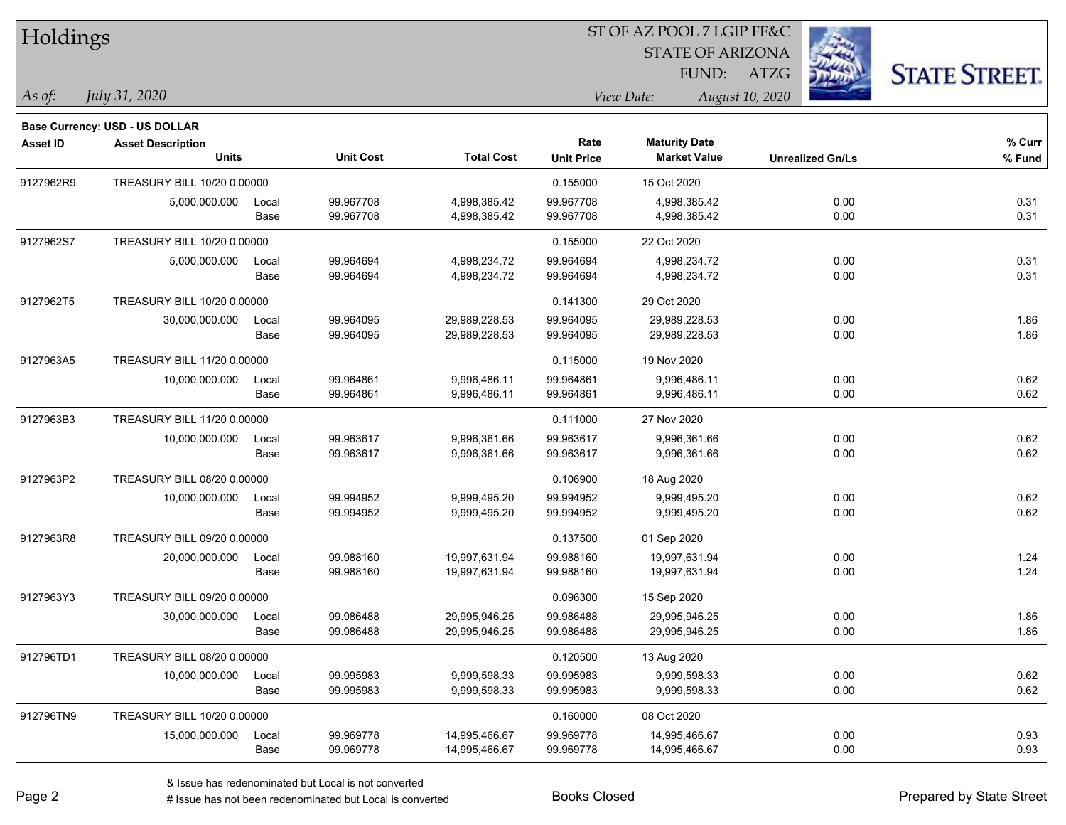| Holdings        |                                       |       |                  |                   |                   | ST OF AZ POOL 7 LGIP FF&C |                         |                      |
|-----------------|---------------------------------------|-------|------------------|-------------------|-------------------|---------------------------|-------------------------|----------------------|
|                 |                                       |       |                  |                   |                   | <b>STATE OF ARIZONA</b>   |                         |                      |
|                 |                                       |       |                  |                   |                   | FUND:                     | ATZG                    | <b>STATE STREET.</b> |
| As of:          | <i>July 31, 2020</i>                  |       |                  |                   |                   | View Date:                | August 10, 2020         |                      |
|                 | <b>Base Currency: USD - US DOLLAR</b> |       |                  |                   |                   |                           |                         |                      |
| <b>Asset ID</b> | <b>Asset Description</b>              |       |                  |                   | Rate              | <b>Maturity Date</b>      |                         | % Curr               |
|                 | <b>Units</b>                          |       | <b>Unit Cost</b> | <b>Total Cost</b> | <b>Unit Price</b> | <b>Market Value</b>       | <b>Unrealized Gn/Ls</b> | % Fund               |
| 9127962R9       | TREASURY BILL 10/20 0.00000           |       |                  |                   | 0.155000          | 15 Oct 2020               |                         |                      |
|                 | 5,000,000.000                         | Local | 99.967708        | 4,998,385.42      | 99.967708         | 4,998,385.42              | 0.00                    | 0.31                 |
|                 |                                       | Base  | 99.967708        | 4,998,385.42      | 99.967708         | 4,998,385.42              | 0.00                    | 0.31                 |
| 9127962S7       | TREASURY BILL 10/20 0.00000           |       |                  |                   | 0.155000          | 22 Oct 2020               |                         |                      |
|                 | 5,000,000.000                         | Local | 99.964694        | 4,998,234.72      | 99.964694         | 4,998,234.72              | 0.00                    | 0.31                 |
|                 |                                       | Base  | 99.964694        | 4,998,234.72      | 99.964694         | 4,998,234.72              | 0.00                    | 0.31                 |
| 9127962T5       | TREASURY BILL 10/20 0.00000           |       |                  |                   | 0.141300          | 29 Oct 2020               |                         |                      |
|                 | 30,000,000.000                        | Local | 99.964095        | 29,989,228.53     | 99.964095         | 29,989,228.53             | 0.00                    | 1.86                 |
|                 |                                       | Base  | 99.964095        | 29,989,228.53     | 99.964095         | 29,989,228.53             | 0.00                    | 1.86                 |
| 9127963A5       | TREASURY BILL 11/20 0.00000           |       |                  |                   | 0.115000          | 19 Nov 2020               |                         |                      |
|                 | 10,000,000.000                        | Local | 99.964861        | 9,996,486.11      | 99.964861         | 9,996,486.11              | 0.00                    | 0.62                 |
|                 |                                       | Base  | 99.964861        | 9,996,486.11      | 99.964861         | 9,996,486.11              | 0.00                    | 0.62                 |
| 9127963B3       | TREASURY BILL 11/20 0.00000           |       |                  |                   | 0.111000          | 27 Nov 2020               |                         |                      |
|                 | 10,000,000.000                        | Local | 99.963617        | 9,996,361.66      | 99.963617         | 9,996,361.66              | 0.00                    | 0.62                 |
|                 |                                       | Base  | 99.963617        | 9,996,361.66      | 99.963617         | 9,996,361.66              | 0.00                    | 0.62                 |
| 9127963P2       | TREASURY BILL 08/20 0.00000           |       |                  |                   | 0.106900          | 18 Aug 2020               |                         |                      |
|                 | 10,000,000.000                        | Local | 99.994952        | 9,999,495.20      | 99.994952         | 9,999,495.20              | 0.00                    | 0.62                 |
|                 |                                       | Base  | 99.994952        | 9,999,495.20      | 99.994952         | 9,999,495.20              | 0.00                    | 0.62                 |
| 9127963R8       | TREASURY BILL 09/20 0.00000           |       |                  |                   | 0.137500          | 01 Sep 2020               |                         |                      |
|                 | 20,000,000.000                        | Local | 99.988160        | 19,997,631.94     | 99.988160         | 19,997,631.94             | 0.00                    | 1.24                 |
|                 |                                       | Base  | 99.988160        | 19,997,631.94     | 99.988160         | 19,997,631.94             | 0.00                    | 1.24                 |
| 9127963Y3       | TREASURY BILL 09/20 0.00000           |       |                  |                   | 0.096300          | 15 Sep 2020               |                         |                      |
|                 | 30,000,000.000                        | Local | 99.986488        | 29,995,946.25     | 99.986488         | 29,995,946.25             | 0.00                    | 1.86                 |
|                 |                                       | Base  | 99.986488        | 29,995,946.25     | 99.986488         | 29,995,946.25             | 0.00                    | 1.86                 |
| 912796TD1       | TREASURY BILL 08/20 0.00000           |       |                  |                   | 0.120500          | 13 Aug 2020               |                         |                      |
|                 | 10,000,000.000                        | Local | 99.995983        | 9,999,598.33      | 99.995983         | 9,999,598.33              | 0.00                    | 0.62                 |
|                 |                                       | Base  | 99.995983        | 9,999,598.33      | 99.995983         | 9,999,598.33              | 0.00                    | 0.62                 |
| 912796TN9       | TREASURY BILL 10/20 0.00000           |       |                  |                   | 0.160000          | 08 Oct 2020               |                         |                      |
|                 | 15,000,000.000                        | Local | 99.969778        | 14,995,466.67     | 99.969778         | 14,995,466.67             | 0.00                    | 0.93                 |
|                 |                                       | Base  | 99.969778        | 14,995,466.67     | 99.969778         | 14,995,466.67             | 0.00                    | 0.93                 |

L

 $\overline{\phantom{a}}$ 

 $\overline{\phantom{a}}$ 

 $\overline{\phantom{a}}$ 

 $\overline{\phantom{0}}$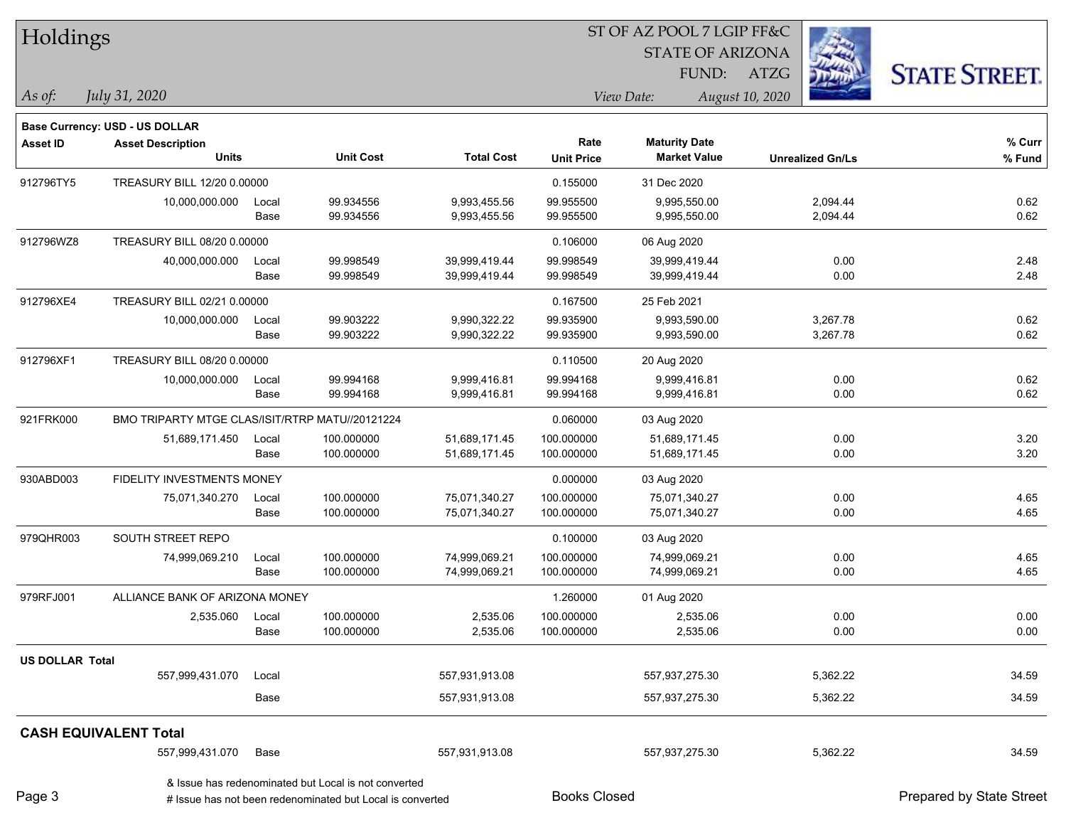| Holdings               |                                                 |       |                                                                                                                   |                   |                     | ST OF AZ POOL 7 LGIP FF&C |                         |                          |
|------------------------|-------------------------------------------------|-------|-------------------------------------------------------------------------------------------------------------------|-------------------|---------------------|---------------------------|-------------------------|--------------------------|
|                        |                                                 |       |                                                                                                                   |                   |                     | <b>STATE OF ARIZONA</b>   |                         |                          |
|                        |                                                 |       |                                                                                                                   |                   |                     | FUND:                     | ATZG                    | <b>STATE STREET.</b>     |
| As of:                 | July 31, 2020                                   |       |                                                                                                                   |                   |                     | View Date:                | August 10, 2020         |                          |
|                        | Base Currency: USD - US DOLLAR                  |       |                                                                                                                   |                   |                     |                           |                         |                          |
| <b>Asset ID</b>        | <b>Asset Description</b>                        |       |                                                                                                                   |                   | Rate                | <b>Maturity Date</b>      |                         | % Curr                   |
|                        | <b>Units</b>                                    |       | <b>Unit Cost</b>                                                                                                  | <b>Total Cost</b> | <b>Unit Price</b>   | <b>Market Value</b>       | <b>Unrealized Gn/Ls</b> | $%$ Fund                 |
| 912796TY5              | TREASURY BILL 12/20 0.00000                     |       |                                                                                                                   |                   | 0.155000            | 31 Dec 2020               |                         |                          |
|                        | 10,000,000.000                                  | Local | 99.934556                                                                                                         | 9,993,455.56      | 99.955500           | 9,995,550.00              | 2,094.44                | 0.62                     |
|                        |                                                 | Base  | 99.934556                                                                                                         | 9,993,455.56      | 99.955500           | 9,995,550.00              | 2,094.44                | 0.62                     |
| 912796WZ8              | TREASURY BILL 08/20 0.00000                     |       |                                                                                                                   |                   | 0.106000            | 06 Aug 2020               |                         |                          |
|                        | 40,000,000.000                                  | Local | 99.998549                                                                                                         | 39,999,419.44     | 99.998549           | 39,999,419.44             | 0.00                    | 2.48                     |
|                        |                                                 | Base  | 99.998549                                                                                                         | 39,999,419.44     | 99.998549           | 39,999,419.44             | 0.00                    | 2.48                     |
| 912796XE4              | TREASURY BILL 02/21 0.00000                     |       |                                                                                                                   |                   | 0.167500            | 25 Feb 2021               |                         |                          |
|                        | 10,000,000.000                                  | Local | 99.903222                                                                                                         | 9,990,322.22      | 99.935900           | 9,993,590.00              | 3,267.78                | 0.62                     |
|                        |                                                 | Base  | 99.903222                                                                                                         | 9,990,322.22      | 99.935900           | 9,993,590.00              | 3,267.78                | 0.62                     |
| 912796XF1              | TREASURY BILL 08/20 0.00000                     |       |                                                                                                                   |                   | 0.110500            | 20 Aug 2020               |                         |                          |
|                        | 10,000,000.000                                  | Local | 99.994168                                                                                                         | 9,999,416.81      | 99.994168           | 9,999,416.81              | 0.00                    | 0.62                     |
|                        |                                                 | Base  | 99.994168                                                                                                         | 9,999,416.81      | 99.994168           | 9,999,416.81              | 0.00                    | 0.62                     |
| 921FRK000              | BMO TRIPARTY MTGE CLAS/ISIT/RTRP MATU//20121224 |       |                                                                                                                   |                   | 0.060000            | 03 Aug 2020               |                         |                          |
|                        | 51,689,171.450                                  | Local | 100.000000                                                                                                        | 51,689,171.45     | 100.000000          | 51,689,171.45             | 0.00                    | 3.20                     |
|                        |                                                 | Base  | 100.000000                                                                                                        | 51,689,171.45     | 100.000000          | 51,689,171.45             | 0.00                    | 3.20                     |
| 930ABD003              | FIDELITY INVESTMENTS MONEY                      |       |                                                                                                                   | 0.000000          | 03 Aug 2020         |                           |                         |                          |
|                        | 75,071,340.270                                  | Local | 100.000000                                                                                                        | 75,071,340.27     | 100.000000          | 75,071,340.27             | 0.00                    | 4.65                     |
|                        |                                                 | Base  | 100.000000                                                                                                        | 75,071,340.27     | 100.000000          | 75,071,340.27             | 0.00                    | 4.65                     |
| 979QHR003              | SOUTH STREET REPO                               |       |                                                                                                                   |                   | 0.100000            | 03 Aug 2020               |                         |                          |
|                        | 74,999,069.210                                  | Local | 100.000000                                                                                                        | 74,999,069.21     | 100.000000          | 74,999,069.21             | 0.00                    | 4.65                     |
|                        |                                                 | Base  | 100.000000                                                                                                        | 74,999,069.21     | 100.000000          | 74,999,069.21             | 0.00                    | 4.65                     |
| 979RFJ001              | ALLIANCE BANK OF ARIZONA MONEY                  |       |                                                                                                                   |                   | 1.260000            | 01 Aug 2020               |                         |                          |
|                        | 2,535.060                                       | Local | 100.000000                                                                                                        | 2,535.06          | 100.000000          | 2,535.06                  | 0.00                    | 0.00                     |
|                        |                                                 | Base  | 100.000000                                                                                                        | 2,535.06          | 100.000000          | 2,535.06                  | 0.00                    | 0.00                     |
| <b>US DOLLAR Total</b> |                                                 |       |                                                                                                                   |                   |                     |                           |                         |                          |
|                        | 557,999,431.070                                 | Local |                                                                                                                   | 557,931,913.08    |                     | 557,937,275.30            | 5,362.22                | 34.59                    |
|                        |                                                 | Base  |                                                                                                                   | 557,931,913.08    |                     | 557,937,275.30            | 5,362.22                | 34.59                    |
|                        | <b>CASH EQUIVALENT Total</b>                    |       |                                                                                                                   |                   |                     |                           |                         |                          |
|                        | 557,999,431.070                                 | Base  |                                                                                                                   | 557,931,913.08    |                     | 557,937,275.30            | 5,362.22                | 34.59                    |
| Page 3                 |                                                 |       | & Issue has redenominated but Local is not converted<br># Issue has not been redenominated but Local is converted |                   | <b>Books Closed</b> |                           |                         | Prepared by State Street |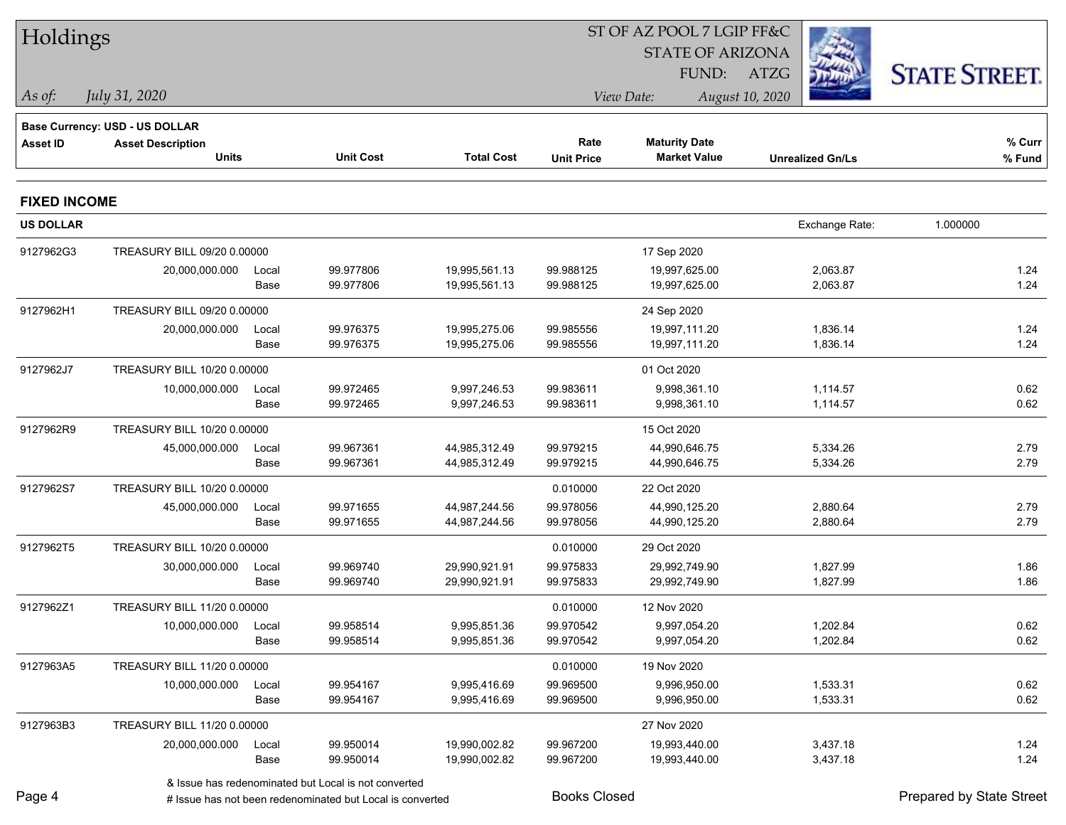| Holdings            |                                |       |                                                           |                   |                     | ST OF AZ POOL 7 LGIP FF&C |                         |                          |  |
|---------------------|--------------------------------|-------|-----------------------------------------------------------|-------------------|---------------------|---------------------------|-------------------------|--------------------------|--|
|                     |                                |       |                                                           |                   |                     | <b>STATE OF ARIZONA</b>   |                         |                          |  |
|                     |                                |       |                                                           |                   |                     | FUND:                     | ATZG                    | <b>STATE STREET.</b>     |  |
| As of:              | July 31, 2020                  |       |                                                           |                   |                     | View Date:                | August 10, 2020         |                          |  |
|                     | Base Currency: USD - US DOLLAR |       |                                                           |                   |                     |                           |                         |                          |  |
| <b>Asset ID</b>     | <b>Asset Description</b>       |       |                                                           |                   | Rate                | <b>Maturity Date</b>      |                         | % Curr                   |  |
|                     | <b>Units</b>                   |       | <b>Unit Cost</b>                                          | <b>Total Cost</b> | <b>Unit Price</b>   | <b>Market Value</b>       | <b>Unrealized Gn/Ls</b> | % Fund                   |  |
| <b>FIXED INCOME</b> |                                |       |                                                           |                   |                     |                           |                         |                          |  |
| <b>US DOLLAR</b>    |                                |       |                                                           |                   |                     |                           | Exchange Rate:          | 1.000000                 |  |
| 9127962G3           | TREASURY BILL 09/20 0.00000    |       |                                                           |                   |                     | 17 Sep 2020               |                         |                          |  |
|                     | 20,000,000.000                 | Local | 99.977806                                                 | 19,995,561.13     | 99.988125           | 19,997,625.00             | 2,063.87                | 1.24                     |  |
|                     |                                | Base  | 99.977806                                                 | 19,995,561.13     | 99.988125           | 19,997,625.00             | 2,063.87                | 1.24                     |  |
| 9127962H1           | TREASURY BILL 09/20 0.00000    |       |                                                           |                   |                     | 24 Sep 2020               |                         |                          |  |
|                     | 20,000,000.000                 | Local | 99.976375                                                 | 19,995,275.06     | 99.985556           | 19,997,111.20             | 1,836.14                | 1.24                     |  |
|                     |                                | Base  | 99.976375                                                 | 19,995,275.06     | 99.985556           | 19,997,111.20             | 1,836.14                | 1.24                     |  |
| 9127962J7           | TREASURY BILL 10/20 0.00000    |       |                                                           |                   |                     | 01 Oct 2020               |                         |                          |  |
|                     | 10,000,000.000                 | Local | 99.972465                                                 | 9,997,246.53      | 99.983611           | 9,998,361.10              | 1,114.57                | 0.62                     |  |
|                     |                                | Base  | 99.972465                                                 | 9,997,246.53      | 99.983611           | 9,998,361.10              | 1,114.57                | 0.62                     |  |
| 9127962R9           | TREASURY BILL 10/20 0.00000    |       |                                                           |                   |                     | 15 Oct 2020               |                         |                          |  |
|                     | 45,000,000.000                 | Local | 99.967361                                                 | 44,985,312.49     | 99.979215           | 44,990,646.75             | 5,334.26                | 2.79                     |  |
|                     |                                | Base  | 99.967361                                                 | 44,985,312.49     | 99.979215           | 44,990,646.75             | 5,334.26                | 2.79                     |  |
| 9127962S7           | TREASURY BILL 10/20 0.00000    |       |                                                           |                   | 0.010000            | 22 Oct 2020               |                         |                          |  |
|                     | 45,000,000.000                 | Local | 99.971655                                                 | 44,987,244.56     | 99.978056           | 44,990,125.20             | 2,880.64                | 2.79                     |  |
|                     |                                | Base  | 99.971655                                                 | 44,987,244.56     | 99.978056           | 44,990,125.20             | 2,880.64                | 2.79                     |  |
| 9127962T5           | TREASURY BILL 10/20 0.00000    |       |                                                           |                   | 0.010000            | 29 Oct 2020               |                         |                          |  |
|                     | 30,000,000.000                 | Local | 99.969740                                                 | 29,990,921.91     | 99.975833           | 29,992,749.90             | 1,827.99                | 1.86                     |  |
|                     |                                | Base  | 99.969740                                                 | 29,990,921.91     | 99.975833           | 29,992,749.90             | 1,827.99                | 1.86                     |  |
| 9127962Z1           | TREASURY BILL 11/20 0.00000    |       |                                                           |                   | 0.010000            | 12 Nov 2020               |                         |                          |  |
|                     | 10,000,000.000 Local           |       | 99.958514                                                 | 9,995,851.36      | 99.970542           | 9,997,054.20              | 1,202.84                | 0.62                     |  |
|                     |                                | Base  | 99.958514                                                 | 9,995,851.36      | 99.970542           | 9,997,054.20              | 1,202.84                | 0.62                     |  |
| 9127963A5           | TREASURY BILL 11/20 0.00000    |       |                                                           |                   | 0.010000            | 19 Nov 2020               |                         |                          |  |
|                     | 10,000,000.000                 | Local | 99.954167                                                 | 9,995,416.69      | 99.969500           | 9,996,950.00              | 1,533.31                | 0.62                     |  |
|                     |                                | Base  | 99.954167                                                 | 9,995,416.69      | 99.969500           | 9,996,950.00              | 1,533.31                | 0.62                     |  |
| 9127963B3           | TREASURY BILL 11/20 0.00000    |       |                                                           |                   |                     | 27 Nov 2020               |                         |                          |  |
|                     | 20,000,000.000                 | Local | 99.950014                                                 | 19,990,002.82     | 99.967200           | 19,993,440.00             | 3,437.18                | 1.24                     |  |
|                     |                                | Base  | 99.950014                                                 | 19,990,002.82     | 99.967200           | 19,993,440.00             | 3,437.18                | 1.24                     |  |
|                     |                                |       | & Issue has redenominated but Local is not converted      |                   |                     |                           |                         |                          |  |
| Page 4              |                                |       | # Issue has not been redenominated but Local is converted |                   | <b>Books Closed</b> |                           |                         | Prepared by State Street |  |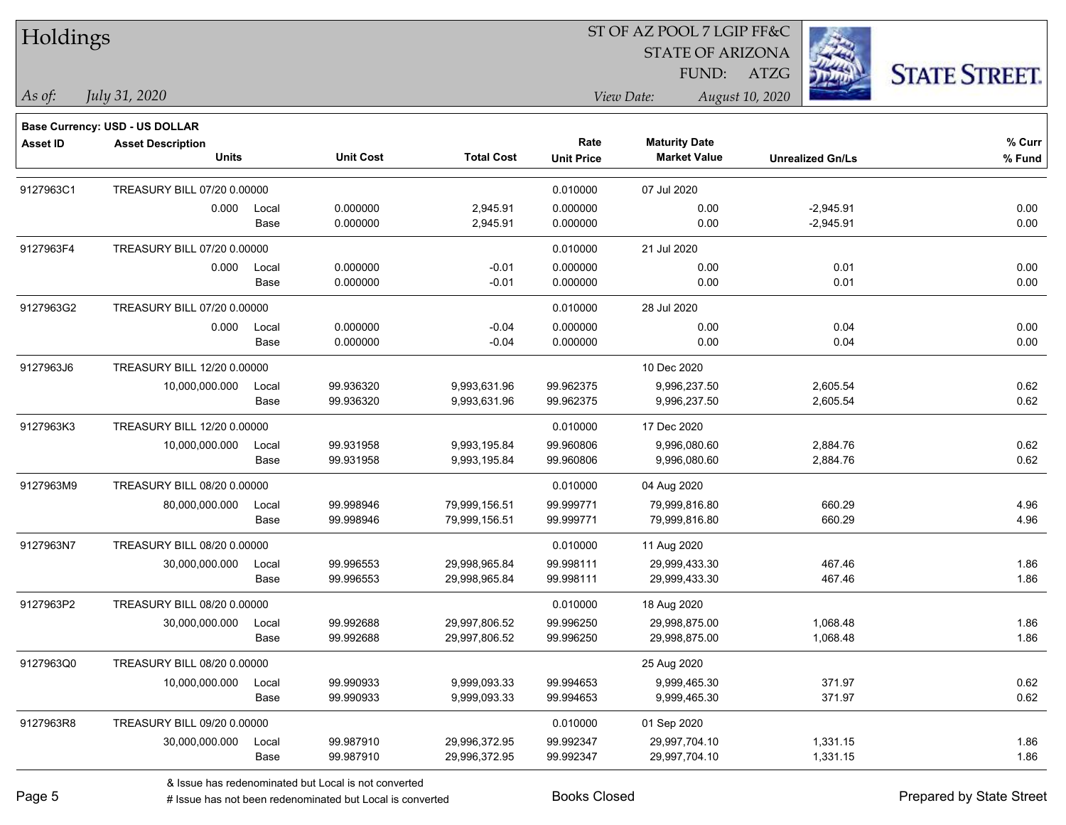Holdings

#### ST OF AZ POOL 7 LGIP FF&C

STATE OF ARIZONA

FUND: ATZG



*As of: View Date: August 10, 2020*

*July 31, 2020*

|                 | Base Currency: USD - US DOLLAR |       |                  |                   |                   |                      |                         |        |
|-----------------|--------------------------------|-------|------------------|-------------------|-------------------|----------------------|-------------------------|--------|
| <b>Asset ID</b> | <b>Asset Description</b>       |       |                  |                   | Rate              | <b>Maturity Date</b> |                         | % Curr |
|                 | <b>Units</b>                   |       | <b>Unit Cost</b> | <b>Total Cost</b> | <b>Unit Price</b> | <b>Market Value</b>  | <b>Unrealized Gn/Ls</b> | % Fund |
| 9127963C1       | TREASURY BILL 07/20 0.00000    |       |                  |                   | 0.010000          | 07 Jul 2020          |                         |        |
|                 | 0.000                          | Local | 0.000000         | 2,945.91          | 0.000000          | 0.00                 | $-2,945.91$             | 0.00   |
|                 |                                | Base  | 0.000000         | 2,945.91          | 0.000000          | 0.00                 | $-2,945.91$             | 0.00   |
| 9127963F4       | TREASURY BILL 07/20 0.00000    |       |                  |                   | 0.010000          | 21 Jul 2020          |                         |        |
|                 | 0.000                          | Local | 0.000000         | $-0.01$           | 0.000000          | 0.00                 | 0.01                    | 0.00   |
|                 |                                | Base  | 0.000000         | $-0.01$           | 0.000000          | 0.00                 | 0.01                    | 0.00   |
| 9127963G2       | TREASURY BILL 07/20 0.00000    |       |                  |                   | 0.010000          | 28 Jul 2020          |                         |        |
|                 | 0.000                          | Local | 0.000000         | $-0.04$           | 0.000000          | 0.00                 | 0.04                    | 0.00   |
|                 |                                | Base  | 0.000000         | $-0.04$           | 0.000000          | 0.00                 | 0.04                    | 0.00   |
| 9127963J6       | TREASURY BILL 12/20 0.00000    |       |                  |                   |                   | 10 Dec 2020          |                         |        |
|                 | 10,000,000.000                 | Local | 99.936320        | 9,993,631.96      | 99.962375         | 9,996,237.50         | 2,605.54                | 0.62   |
|                 |                                | Base  | 99.936320        | 9,993,631.96      | 99.962375         | 9,996,237.50         | 2,605.54                | 0.62   |
| 9127963K3       | TREASURY BILL 12/20 0.00000    |       |                  |                   | 0.010000          | 17 Dec 2020          |                         |        |
|                 | 10,000,000.000                 | Local | 99.931958        | 9,993,195.84      | 99.960806         | 9,996,080.60         | 2,884.76                | 0.62   |
|                 |                                | Base  | 99.931958        | 9,993,195.84      | 99.960806         | 9,996,080.60         | 2,884.76                | 0.62   |
| 9127963M9       | TREASURY BILL 08/20 0.00000    |       |                  |                   | 0.010000          | 04 Aug 2020          |                         |        |
|                 | 80,000,000.000                 | Local | 99.998946        | 79,999,156.51     | 99.999771         | 79,999,816.80        | 660.29                  | 4.96   |
|                 |                                | Base  | 99.998946        | 79,999,156.51     | 99.999771         | 79,999,816.80        | 660.29                  | 4.96   |
| 9127963N7       | TREASURY BILL 08/20 0.00000    |       |                  |                   | 0.010000          | 11 Aug 2020          |                         |        |
|                 | 30,000,000.000                 | Local | 99.996553        | 29,998,965.84     | 99.998111         | 29,999,433.30        | 467.46                  | 1.86   |
|                 |                                | Base  | 99.996553        | 29,998,965.84     | 99.998111         | 29,999,433.30        | 467.46                  | 1.86   |
| 9127963P2       | TREASURY BILL 08/20 0.00000    |       |                  |                   | 0.010000          | 18 Aug 2020          |                         |        |
|                 | 30,000,000.000                 | Local | 99.992688        | 29,997,806.52     | 99.996250         | 29,998,875.00        | 1,068.48                | 1.86   |
|                 |                                | Base  | 99.992688        | 29,997,806.52     | 99.996250         | 29,998,875.00        | 1,068.48                | 1.86   |
| 9127963Q0       | TREASURY BILL 08/20 0.00000    |       |                  |                   |                   | 25 Aug 2020          |                         |        |
|                 | 10,000,000.000                 | Local | 99.990933        | 9,999,093.33      | 99.994653         | 9,999,465.30         | 371.97                  | 0.62   |
|                 |                                | Base  | 99.990933        | 9,999,093.33      | 99.994653         | 9,999,465.30         | 371.97                  | 0.62   |
| 9127963R8       | TREASURY BILL 09/20 0.00000    |       |                  |                   | 0.010000          | 01 Sep 2020          |                         |        |
|                 | 30,000,000.000                 | Local | 99.987910        | 29,996,372.95     | 99.992347         | 29,997,704.10        | 1,331.15                | 1.86   |
|                 |                                | Base  | 99.987910        | 29,996,372.95     | 99.992347         | 29,997,704.10        | 1,331.15                | 1.86   |
|                 |                                |       |                  |                   |                   |                      |                         |        |

& Issue has redenominated but Local is not converted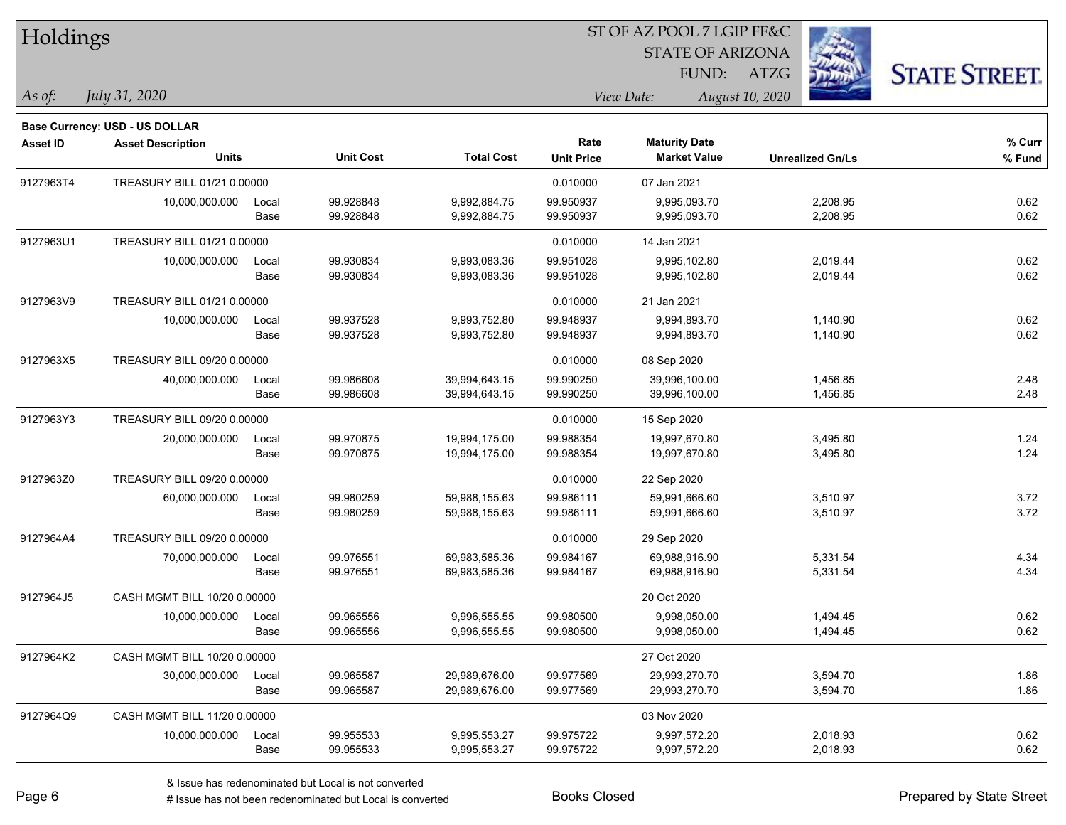| Holdings        |                                          |               |                        |                                |                           | ST OF AZ POOL 7 LGIP FF&C                   |                         |                      |
|-----------------|------------------------------------------|---------------|------------------------|--------------------------------|---------------------------|---------------------------------------------|-------------------------|----------------------|
|                 |                                          |               |                        |                                |                           | <b>STATE OF ARIZONA</b>                     |                         |                      |
|                 |                                          |               |                        |                                |                           | FUND:                                       | ATZG                    | <b>STATE STREET.</b> |
| As of:          | July 31, 2020                            |               |                        |                                |                           | View Date:                                  | August 10, 2020         |                      |
|                 |                                          |               |                        |                                |                           |                                             |                         |                      |
|                 | Base Currency: USD - US DOLLAR           |               |                        |                                |                           |                                             |                         |                      |
| <b>Asset ID</b> | <b>Asset Description</b><br><b>Units</b> |               | <b>Unit Cost</b>       | <b>Total Cost</b>              | Rate<br><b>Unit Price</b> | <b>Maturity Date</b><br><b>Market Value</b> | <b>Unrealized Gn/Ls</b> | % Curr<br>% Fund     |
|                 |                                          |               |                        |                                |                           |                                             |                         |                      |
| 9127963T4       | TREASURY BILL 01/21 0.00000              |               |                        |                                | 0.010000                  | 07 Jan 2021                                 |                         |                      |
|                 | 10,000,000.000                           | Local<br>Base | 99.928848<br>99.928848 | 9,992,884.75<br>9,992,884.75   | 99.950937<br>99.950937    | 9,995,093.70<br>9,995,093.70                | 2,208.95<br>2,208.95    | 0.62<br>0.62         |
|                 |                                          |               |                        |                                |                           |                                             |                         |                      |
| 9127963U1       | TREASURY BILL 01/21 0.00000              |               |                        |                                | 0.010000                  | 14 Jan 2021                                 |                         |                      |
|                 | 10,000,000.000                           | Local<br>Base | 99.930834<br>99.930834 | 9,993,083.36<br>9,993,083.36   | 99.951028<br>99.951028    | 9,995,102.80<br>9,995,102.80                | 2,019.44<br>2,019.44    | 0.62<br>0.62         |
|                 |                                          |               |                        |                                |                           |                                             |                         |                      |
| 9127963V9       | TREASURY BILL 01/21 0.00000              |               |                        |                                | 0.010000                  | 21 Jan 2021                                 |                         |                      |
|                 | 10,000,000.000                           | Local<br>Base | 99.937528<br>99.937528 | 9,993,752.80<br>9,993,752.80   | 99.948937<br>99.948937    | 9,994,893.70<br>9,994,893.70                | 1,140.90<br>1,140.90    | 0.62<br>0.62         |
|                 |                                          |               |                        |                                |                           |                                             |                         |                      |
| 9127963X5       | TREASURY BILL 09/20 0.00000              |               |                        |                                | 0.010000                  | 08 Sep 2020                                 |                         |                      |
|                 | 40,000,000.000                           | Local<br>Base | 99.986608<br>99.986608 | 39,994,643.15<br>39,994,643.15 | 99.990250<br>99.990250    | 39,996,100.00<br>39,996,100.00              | 1,456.85<br>1,456.85    | 2.48<br>2.48         |
|                 |                                          |               |                        |                                |                           |                                             |                         |                      |
| 9127963Y3       | TREASURY BILL 09/20 0.00000              |               |                        |                                | 0.010000                  | 15 Sep 2020                                 |                         |                      |
|                 | 20,000,000.000                           | Local         | 99.970875              | 19,994,175.00                  | 99.988354                 | 19,997,670.80                               | 3,495.80                | 1.24                 |
|                 |                                          | Base          | 99.970875              | 19,994,175.00                  | 99.988354                 | 19,997,670.80                               | 3,495.80                | 1.24                 |
| 9127963Z0       | TREASURY BILL 09/20 0.00000              |               |                        |                                | 0.010000                  | 22 Sep 2020                                 |                         |                      |
|                 | 60,000,000.000                           | Local         | 99.980259              | 59,988,155.63                  | 99.986111                 | 59,991,666.60                               | 3,510.97                | 3.72                 |
|                 |                                          | Base          | 99.980259              | 59,988,155.63                  | 99.986111                 | 59,991,666.60                               | 3,510.97                | 3.72                 |
| 9127964A4       | TREASURY BILL 09/20 0.00000              |               |                        |                                | 0.010000                  | 29 Sep 2020                                 |                         |                      |
|                 | 70,000,000.000                           | Local         | 99.976551              | 69,983,585.36                  | 99.984167                 | 69,988,916.90                               | 5,331.54                | 4.34                 |
|                 |                                          | Base          | 99.976551              | 69,983,585.36                  | 99.984167                 | 69,988,916.90                               | 5,331.54                | 4.34                 |
| 9127964J5       | CASH MGMT BILL 10/20 0.00000             |               |                        |                                |                           | 20 Oct 2020                                 |                         |                      |
|                 | 10,000,000.000                           | Local         | 99.965556              | 9,996,555.55                   | 99.980500                 | 9,998,050.00                                | 1,494.45                | 0.62                 |
|                 |                                          | Base          | 99.965556              | 9,996,555.55                   | 99.980500                 | 9,998,050.00                                | 1,494.45                | 0.62                 |
| 9127964K2       | CASH MGMT BILL 10/20 0.00000             |               |                        |                                |                           | 27 Oct 2020                                 |                         |                      |
|                 | 30,000,000.000                           | Local         | 99.965587              | 29,989,676.00                  | 99.977569                 | 29,993,270.70                               | 3,594.70                | 1.86                 |
|                 |                                          | Base          | 99.965587              | 29,989,676.00                  | 99.977569                 | 29,993,270.70                               | 3,594.70                | 1.86                 |
| 9127964Q9       | CASH MGMT BILL 11/20 0.00000             |               |                        |                                |                           | 03 Nov 2020                                 |                         |                      |
|                 | 10,000,000.000                           | Local         | 99.955533              | 9,995,553.27                   | 99.975722                 | 9,997,572.20                                | 2,018.93                | 0.62                 |
|                 |                                          | Base          | 99.955533              | 9,995,553.27                   | 99.975722                 | 9,997,572.20                                | 2,018.93                | 0.62                 |

denote the redenominated but Local is converted Books Closed Prepared by State Street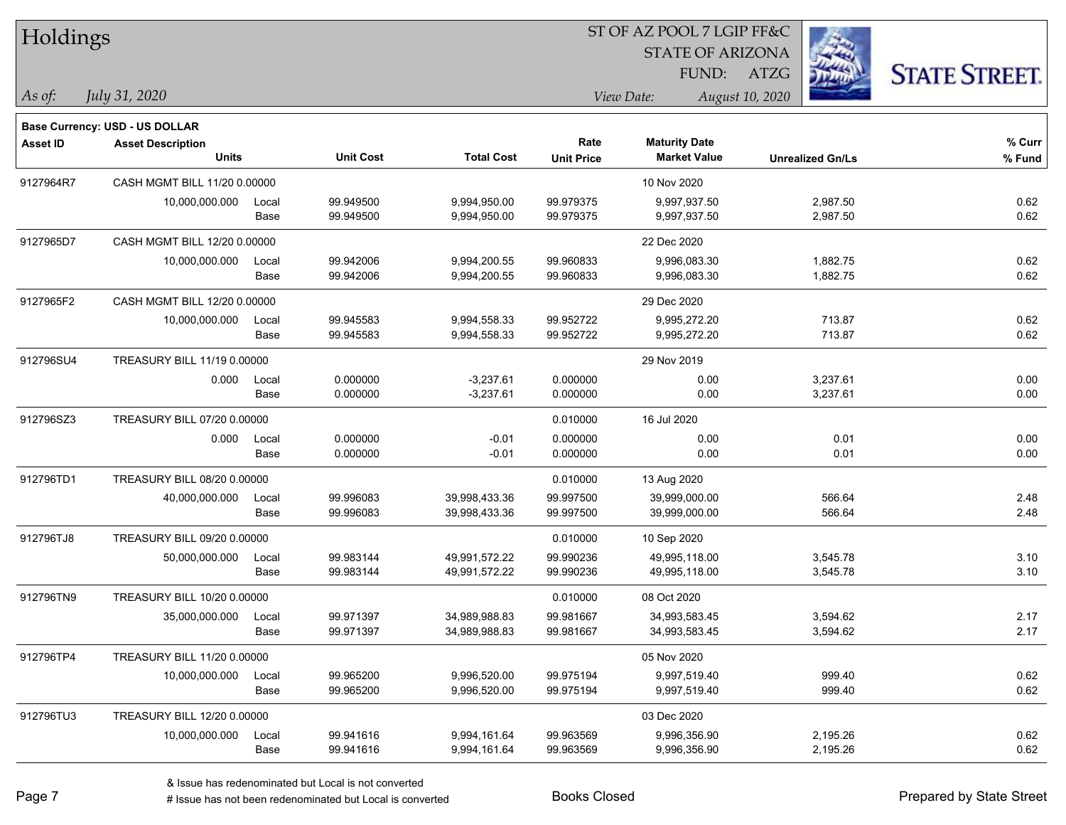| Holdings        |                                                            |       |                  |                   |                   | ST OF AZ POOL 7 LGIP FF&C |                         |                      |
|-----------------|------------------------------------------------------------|-------|------------------|-------------------|-------------------|---------------------------|-------------------------|----------------------|
|                 |                                                            |       |                  |                   |                   | <b>STATE OF ARIZONA</b>   |                         |                      |
|                 |                                                            |       |                  |                   |                   | FUND:                     | ATZG                    | <b>STATE STREET.</b> |
| As of:          | July 31, 2020                                              |       |                  |                   |                   | View Date:                | August 10, 2020         |                      |
|                 |                                                            |       |                  |                   |                   |                           |                         |                      |
| <b>Asset ID</b> | Base Currency: USD - US DOLLAR<br><b>Asset Description</b> |       |                  |                   | Rate              | <b>Maturity Date</b>      |                         | % Curr               |
|                 | <b>Units</b>                                               |       | <b>Unit Cost</b> | <b>Total Cost</b> | <b>Unit Price</b> | <b>Market Value</b>       | <b>Unrealized Gn/Ls</b> | % Fund               |
| 9127964R7       | CASH MGMT BILL 11/20 0.00000                               |       |                  |                   |                   | 10 Nov 2020               |                         |                      |
|                 | 10,000,000.000                                             | Local | 99.949500        | 9,994,950.00      | 99.979375         | 9,997,937.50              | 2,987.50                | 0.62                 |
|                 |                                                            | Base  | 99.949500        | 9,994,950.00      | 99.979375         | 9,997,937.50              | 2,987.50                | 0.62                 |
| 9127965D7       | CASH MGMT BILL 12/20 0.00000                               |       |                  |                   |                   | 22 Dec 2020               |                         |                      |
|                 | 10,000,000.000                                             | Local | 99.942006        | 9,994,200.55      | 99.960833         | 9,996,083.30              | 1,882.75                | 0.62                 |
|                 |                                                            | Base  | 99.942006        | 9,994,200.55      | 99.960833         | 9,996,083.30              | 1,882.75                | 0.62                 |
| 9127965F2       | CASH MGMT BILL 12/20 0.00000                               |       |                  |                   |                   | 29 Dec 2020               |                         |                      |
|                 | 10,000,000.000                                             | Local | 99.945583        | 9,994,558.33      | 99.952722         | 9,995,272.20              | 713.87                  | 0.62                 |
|                 |                                                            | Base  | 99.945583        | 9,994,558.33      | 99.952722         | 9,995,272.20              | 713.87                  | 0.62                 |
| 912796SU4       | TREASURY BILL 11/19 0.00000                                |       |                  |                   |                   | 29 Nov 2019               |                         |                      |
|                 | 0.000                                                      | Local | 0.000000         | $-3,237.61$       | 0.000000          | 0.00                      | 3,237.61                | 0.00                 |
|                 |                                                            | Base  | 0.000000         | $-3,237.61$       | 0.000000          | 0.00                      | 3,237.61                | 0.00                 |
| 912796SZ3       | TREASURY BILL 07/20 0.00000                                |       |                  |                   | 0.010000          | 16 Jul 2020               |                         |                      |
|                 | 0.000                                                      | Local | 0.000000         | $-0.01$           | 0.000000          | 0.00                      | 0.01                    | 0.00                 |
|                 |                                                            | Base  | 0.000000         | $-0.01$           | 0.000000          | 0.00                      | 0.01                    | 0.00                 |
| 912796TD1       | TREASURY BILL 08/20 0.00000                                |       |                  |                   | 0.010000          | 13 Aug 2020               |                         |                      |
|                 | 40,000,000.000                                             | Local | 99.996083        | 39,998,433.36     | 99.997500         | 39,999,000.00             | 566.64                  | 2.48                 |
|                 |                                                            | Base  | 99.996083        | 39,998,433.36     | 99.997500         | 39,999,000.00             | 566.64                  | 2.48                 |
| 912796TJ8       | TREASURY BILL 09/20 0.00000                                |       |                  |                   | 0.010000          | 10 Sep 2020               |                         |                      |
|                 | 50,000,000.000                                             | Local | 99.983144        | 49,991,572.22     | 99.990236         | 49,995,118.00             | 3,545.78                | 3.10                 |
|                 |                                                            | Base  | 99.983144        | 49,991,572.22     | 99.990236         | 49,995,118.00             | 3,545.78                | 3.10                 |
| 912796TN9       | TREASURY BILL 10/20 0.00000                                |       |                  |                   | 0.010000          | 08 Oct 2020               |                         |                      |
|                 | 35,000,000.000                                             | Local | 99.971397        | 34,989,988.83     | 99.981667         | 34,993,583.45             | 3,594.62                | 2.17                 |
|                 |                                                            | Base  | 99.971397        | 34,989,988.83     | 99.981667         | 34,993,583.45             | 3,594.62                | 2.17                 |
| 912796TP4       | TREASURY BILL 11/20 0.00000                                |       |                  |                   |                   | 05 Nov 2020               |                         |                      |
|                 | 10,000,000.000                                             | Local | 99.965200        | 9,996,520.00      | 99.975194         | 9,997,519.40              | 999.40                  | 0.62                 |
|                 |                                                            | Base  | 99.965200        | 9,996,520.00      | 99.975194         | 9,997,519.40              | 999.40                  | 0.62                 |
| 912796TU3       | TREASURY BILL 12/20 0.00000                                |       |                  |                   |                   | 03 Dec 2020               |                         |                      |
|                 | 10,000,000.000                                             | Local | 99.941616        | 9,994,161.64      | 99.963569         | 9,996,356.90              | 2,195.26                | 0.62                 |
|                 |                                                            | Base  | 99.941616        | 9,994,161.64      | 99.963569         | 9,996,356.90              | 2,195.26                | 0.62                 |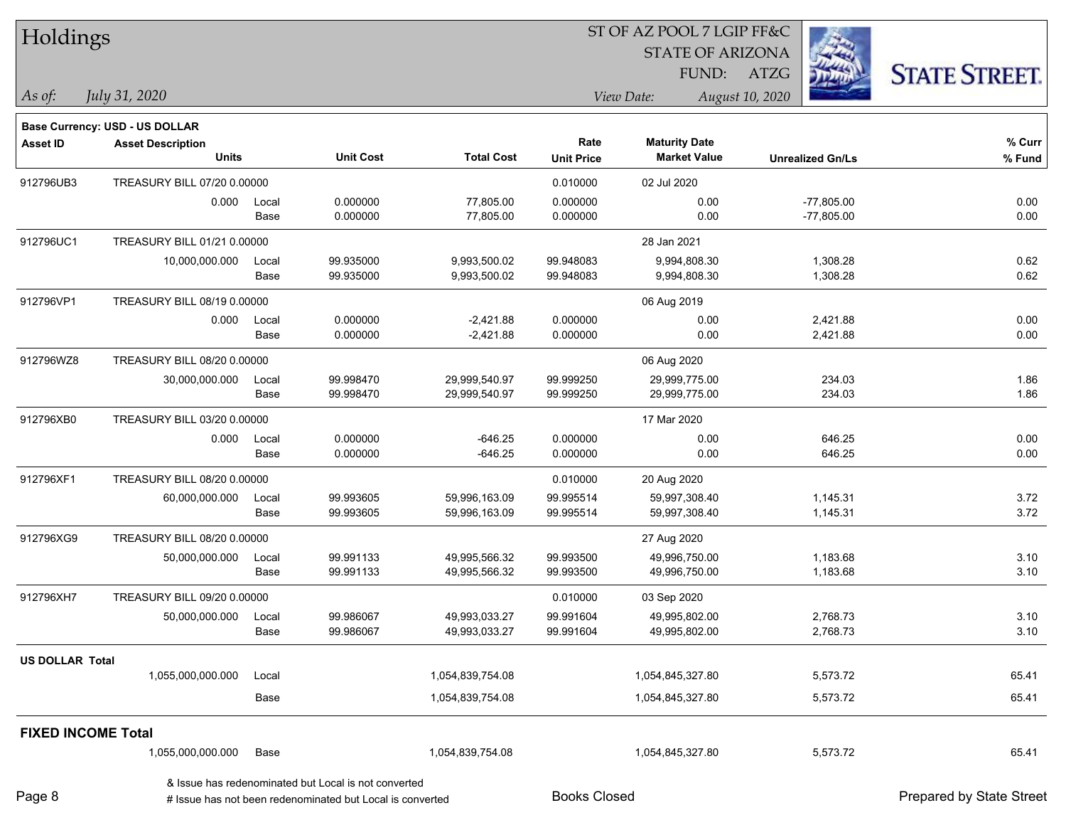| Holdings                  |                                       |       |                                                                                                                   |                   | 51 OF AZ POOL 7 LGIP FF&C<br><b>STATE OF ARIZONA</b> |                      |                         |                          |  |  |
|---------------------------|---------------------------------------|-------|-------------------------------------------------------------------------------------------------------------------|-------------------|------------------------------------------------------|----------------------|-------------------------|--------------------------|--|--|
|                           |                                       |       |                                                                                                                   |                   |                                                      |                      |                         |                          |  |  |
|                           |                                       |       |                                                                                                                   |                   |                                                      |                      | FUND: ATZG              | <b>STATE STREET.</b>     |  |  |
| As of:                    | July 31, 2020                         |       |                                                                                                                   |                   |                                                      | View Date:           | August 10, 2020         |                          |  |  |
|                           | <b>Base Currency: USD - US DOLLAR</b> |       |                                                                                                                   |                   |                                                      |                      |                         |                          |  |  |
| <b>Asset ID</b>           | <b>Asset Description</b>              |       |                                                                                                                   |                   | Rate                                                 | <b>Maturity Date</b> |                         | % Curr                   |  |  |
|                           | <b>Units</b>                          |       | <b>Unit Cost</b>                                                                                                  | <b>Total Cost</b> | <b>Unit Price</b>                                    | <b>Market Value</b>  | <b>Unrealized Gn/Ls</b> | % Fund                   |  |  |
| 912796UB3                 | TREASURY BILL 07/20 0.00000           |       |                                                                                                                   |                   | 0.010000                                             | 02 Jul 2020          |                         |                          |  |  |
|                           | 0.000                                 | Local | 0.000000                                                                                                          | 77,805.00         | 0.000000                                             | 0.00                 | $-77,805.00$            | 0.00                     |  |  |
|                           |                                       | Base  | 0.000000                                                                                                          | 77,805.00         | 0.000000                                             | 0.00                 | $-77,805.00$            | 0.00                     |  |  |
| 912796UC1                 | TREASURY BILL 01/21 0.00000           |       |                                                                                                                   |                   |                                                      | 28 Jan 2021          |                         |                          |  |  |
|                           | 10,000,000.000                        | Local | 99.935000                                                                                                         | 9,993,500.02      | 99.948083                                            | 9,994,808.30         | 1,308.28                | 0.62                     |  |  |
|                           |                                       | Base  | 99.935000                                                                                                         | 9,993,500.02      | 99.948083                                            | 9,994,808.30         | 1,308.28                | 0.62                     |  |  |
| 912796VP1                 | TREASURY BILL 08/19 0.00000           |       |                                                                                                                   |                   |                                                      | 06 Aug 2019          |                         |                          |  |  |
|                           | 0.000                                 | Local | 0.000000                                                                                                          | $-2,421.88$       | 0.000000                                             | 0.00                 | 2,421.88                | 0.00                     |  |  |
|                           |                                       | Base  | 0.000000                                                                                                          | $-2,421.88$       | 0.000000                                             | 0.00                 | 2,421.88                | 0.00                     |  |  |
| 912796WZ8                 | TREASURY BILL 08/20 0.00000           |       |                                                                                                                   |                   |                                                      | 06 Aug 2020          |                         |                          |  |  |
|                           | 30,000,000.000                        | Local | 99.998470                                                                                                         | 29,999,540.97     | 99.999250                                            | 29,999,775.00        | 234.03                  | 1.86                     |  |  |
|                           |                                       | Base  | 99.998470                                                                                                         | 29,999,540.97     | 99.999250                                            | 29,999,775.00        | 234.03                  | 1.86                     |  |  |
| 912796XB0                 | TREASURY BILL 03/20 0.00000           |       |                                                                                                                   |                   |                                                      | 17 Mar 2020          |                         |                          |  |  |
|                           | 0.000                                 | Local | 0.000000                                                                                                          | $-646.25$         | 0.000000                                             | 0.00                 | 646.25                  | 0.00                     |  |  |
|                           |                                       | Base  | 0.000000                                                                                                          | $-646.25$         | 0.000000                                             | 0.00                 | 646.25                  | 0.00                     |  |  |
| 912796XF1                 | TREASURY BILL 08/20 0.00000           |       |                                                                                                                   |                   | 0.010000                                             | 20 Aug 2020          |                         |                          |  |  |
|                           | 60,000,000.000                        | Local | 99.993605                                                                                                         | 59,996,163.09     | 99.995514                                            | 59,997,308.40        | 1,145.31                | 3.72                     |  |  |
|                           |                                       | Base  | 99.993605                                                                                                         | 59,996,163.09     | 99.995514                                            | 59,997,308.40        | 1,145.31                | 3.72                     |  |  |
| 912796XG9                 | TREASURY BILL 08/20 0.00000           |       |                                                                                                                   |                   |                                                      | 27 Aug 2020          |                         |                          |  |  |
|                           | 50,000,000.000                        | Local | 99.991133                                                                                                         | 49,995,566.32     | 99.993500                                            | 49,996,750.00        | 1,183.68                | 3.10                     |  |  |
|                           |                                       | Base  | 99.991133                                                                                                         | 49,995,566.32     | 99.993500                                            | 49,996,750.00        | 1,183.68                | 3.10                     |  |  |
| 912796XH7                 | TREASURY BILL 09/20 0.00000           |       |                                                                                                                   |                   | 0.010000                                             | 03 Sep 2020          |                         |                          |  |  |
|                           | 50,000,000.000                        | Local | 99.986067                                                                                                         | 49,993,033.27     | 99.991604                                            | 49,995,802.00        | 2,768.73                | 3.10                     |  |  |
|                           |                                       | Base  | 99.986067                                                                                                         | 49,993,033.27     | 99.991604                                            | 49,995,802.00        | 2,768.73                | 3.10                     |  |  |
| <b>US DOLLAR Total</b>    |                                       |       |                                                                                                                   |                   |                                                      |                      |                         |                          |  |  |
|                           | 1,055,000,000.000                     | Local |                                                                                                                   | 1,054,839,754.08  |                                                      | 1,054,845,327.80     | 5,573.72                | 65.41                    |  |  |
|                           |                                       | Base  |                                                                                                                   | 1,054,839,754.08  |                                                      | 1,054,845,327.80     | 5,573.72                | 65.41                    |  |  |
| <b>FIXED INCOME Total</b> |                                       |       |                                                                                                                   |                   |                                                      |                      |                         |                          |  |  |
|                           | 1,055,000,000.000                     | Base  |                                                                                                                   | 1,054,839,754.08  |                                                      | 1,054,845,327.80     | 5,573.72                | 65.41                    |  |  |
| Page 8                    |                                       |       | & Issue has redenominated but Local is not converted<br># Issue has not been redenominated but Local is converted |                   | <b>Books Closed</b>                                  |                      |                         | Prepared by State Street |  |  |

 $ST$  OF A Z POOL 7 LCIP FF&C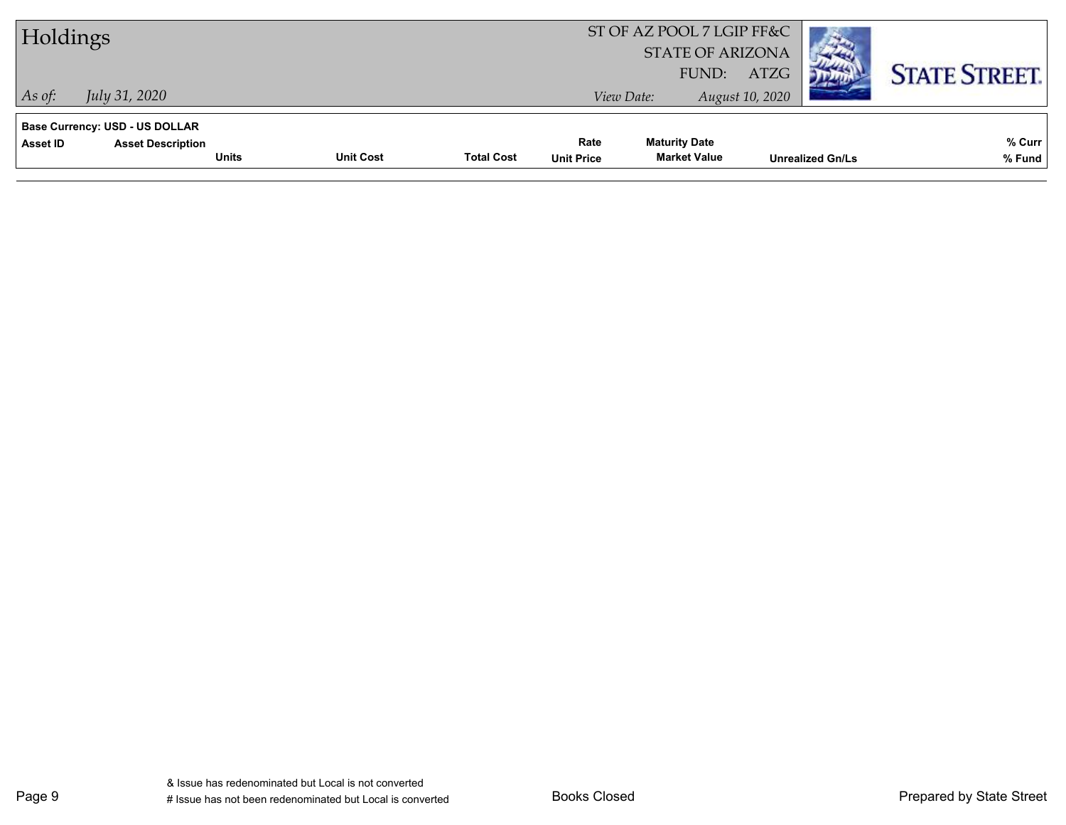| Holdings |                                |              |                                       |                           | ST OF AZ POOL 7 LGIP FF&C<br><b>STATE OF ARIZONA</b><br>FUND: | ATZG            |                         | <b>STATE STREET.</b> |
|----------|--------------------------------|--------------|---------------------------------------|---------------------------|---------------------------------------------------------------|-----------------|-------------------------|----------------------|
| As of:   | <i>July 31, 2020</i>           |              |                                       |                           | View Date:                                                    | August 10, 2020 |                         |                      |
|          | Base Currency: USD - US DOLLAR |              |                                       |                           |                                                               |                 |                         |                      |
| Asset ID | <b>Asset Description</b>       | <b>Units</b> | <b>Unit Cost</b><br><b>Total Cost</b> | Rate<br><b>Unit Price</b> | <b>Maturity Date</b><br><b>Market Value</b>                   |                 | <b>Unrealized Gn/Ls</b> | % Curr<br>% Fund     |
|          |                                |              |                                       |                           |                                                               |                 |                         |                      |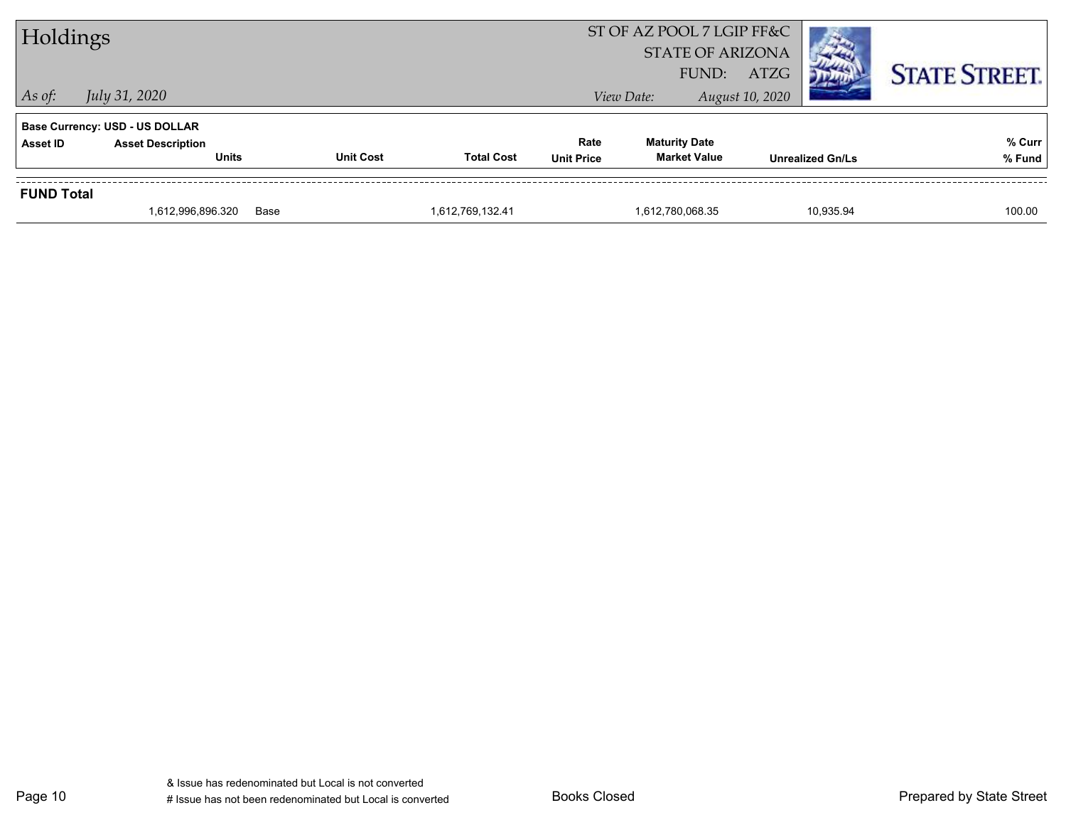| Holdings          |                                       |                  |                   |                   | ST OF AZ POOL 7 LGIP FF&C<br><b>STATE OF ARIZONA</b><br>FUND: | ATZG                    | <b>STATE STREET.</b> |
|-------------------|---------------------------------------|------------------|-------------------|-------------------|---------------------------------------------------------------|-------------------------|----------------------|
| $\vert$ As of:    | July 31, 2020                         |                  |                   |                   | View Date:                                                    | August 10, 2020         |                      |
|                   | <b>Base Currency: USD - US DOLLAR</b> |                  |                   |                   |                                                               |                         |                      |
| Asset ID          | <b>Asset Description</b>              |                  |                   | Rate              | <b>Maturity Date</b>                                          |                         | % Curr               |
|                   | <b>Units</b>                          | <b>Unit Cost</b> | <b>Total Cost</b> | <b>Unit Price</b> | <b>Market Value</b>                                           | <b>Unrealized Gn/Ls</b> | % Fund               |
| <b>FUND Total</b> |                                       |                  |                   |                   |                                                               |                         |                      |
|                   | 1,612,996,896.320                     | Base             | 1,612,769,132.41  |                   | 1,612,780,068.35                                              | 10.935.94               | 100.00               |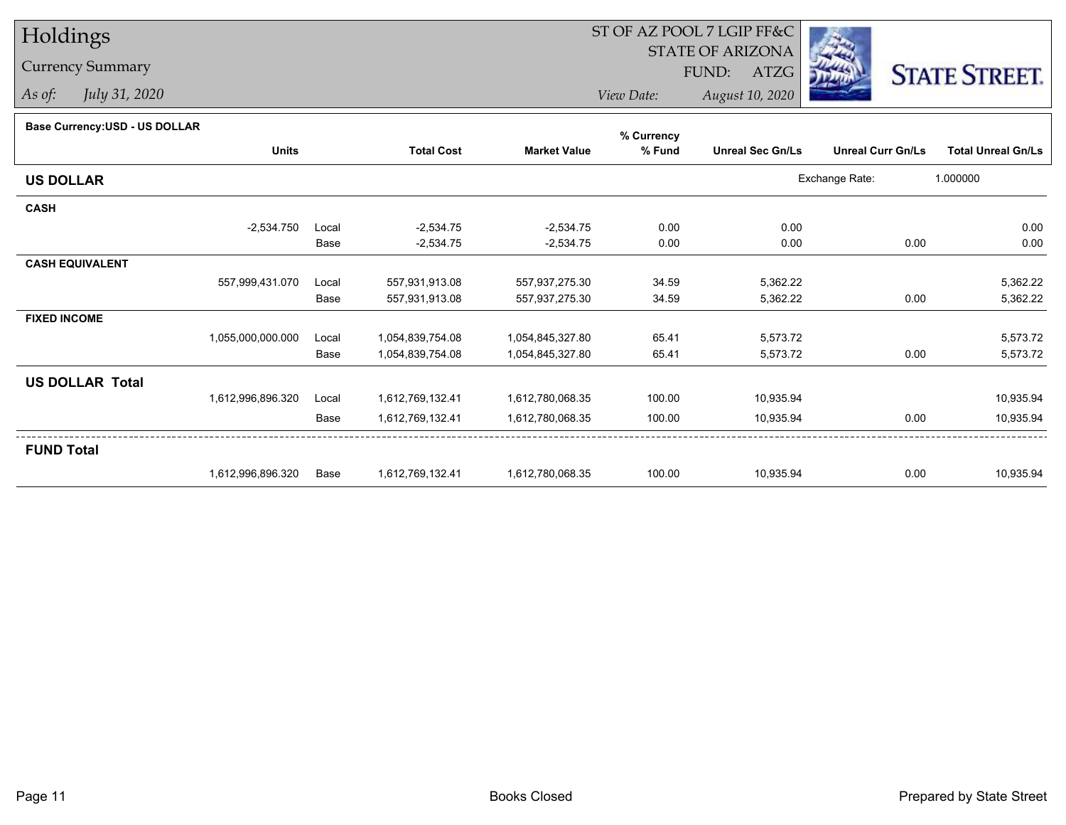# Holdings

### Currency Summary

*As of: July 31, 2020*

## ST OF AZ POOL 7 LGIP FF&C

STATE OF ARIZONA

FUND: ATZG



*View Date:August 10, 2020*

#### **Base Currency:USD - US DOLLAR**

|                        |                   |       |                   |                     | % Currency |                         |                          |                           |
|------------------------|-------------------|-------|-------------------|---------------------|------------|-------------------------|--------------------------|---------------------------|
|                        | <b>Units</b>      |       | <b>Total Cost</b> | <b>Market Value</b> | % Fund     | <b>Unreal Sec Gn/Ls</b> | <b>Unreal Curr Gn/Ls</b> | <b>Total Unreal Gn/Ls</b> |
| <b>US DOLLAR</b>       |                   |       |                   |                     |            |                         | Exchange Rate:           | 1.000000                  |
| <b>CASH</b>            |                   |       |                   |                     |            |                         |                          |                           |
|                        | $-2,534.750$      | Local | $-2,534.75$       | $-2,534.75$         | 0.00       | 0.00                    |                          | 0.00                      |
|                        |                   | Base  | $-2,534.75$       | $-2,534.75$         | 0.00       | 0.00                    | 0.00                     | 0.00                      |
| <b>CASH EQUIVALENT</b> |                   |       |                   |                     |            |                         |                          |                           |
|                        | 557,999,431.070   | Local | 557,931,913.08    | 557,937,275.30      | 34.59      | 5,362.22                |                          | 5,362.22                  |
|                        |                   | Base  | 557,931,913.08    | 557,937,275.30      | 34.59      | 5,362.22                | 0.00                     | 5,362.22                  |
| <b>FIXED INCOME</b>    |                   |       |                   |                     |            |                         |                          |                           |
|                        | 1,055,000,000.000 | Local | 1,054,839,754.08  | 1,054,845,327.80    | 65.41      | 5,573.72                |                          | 5,573.72                  |
|                        |                   | Base  | 1,054,839,754.08  | 1,054,845,327.80    | 65.41      | 5,573.72                | 0.00                     | 5,573.72                  |
| <b>US DOLLAR Total</b> |                   |       |                   |                     |            |                         |                          |                           |
|                        | 1,612,996,896.320 | Local | 1,612,769,132.41  | 1,612,780,068.35    | 100.00     | 10,935.94               |                          | 10,935.94                 |
|                        |                   | Base  | 1,612,769,132.41  | 1,612,780,068.35    | 100.00     | 10,935.94               | 0.00                     | 10,935.94                 |
| <b>FUND Total</b>      |                   |       |                   |                     |            |                         |                          |                           |
|                        | 1,612,996,896.320 | Base  | 1,612,769,132.41  | 1,612,780,068.35    | 100.00     | 10,935.94               | 0.00                     | 10,935.94                 |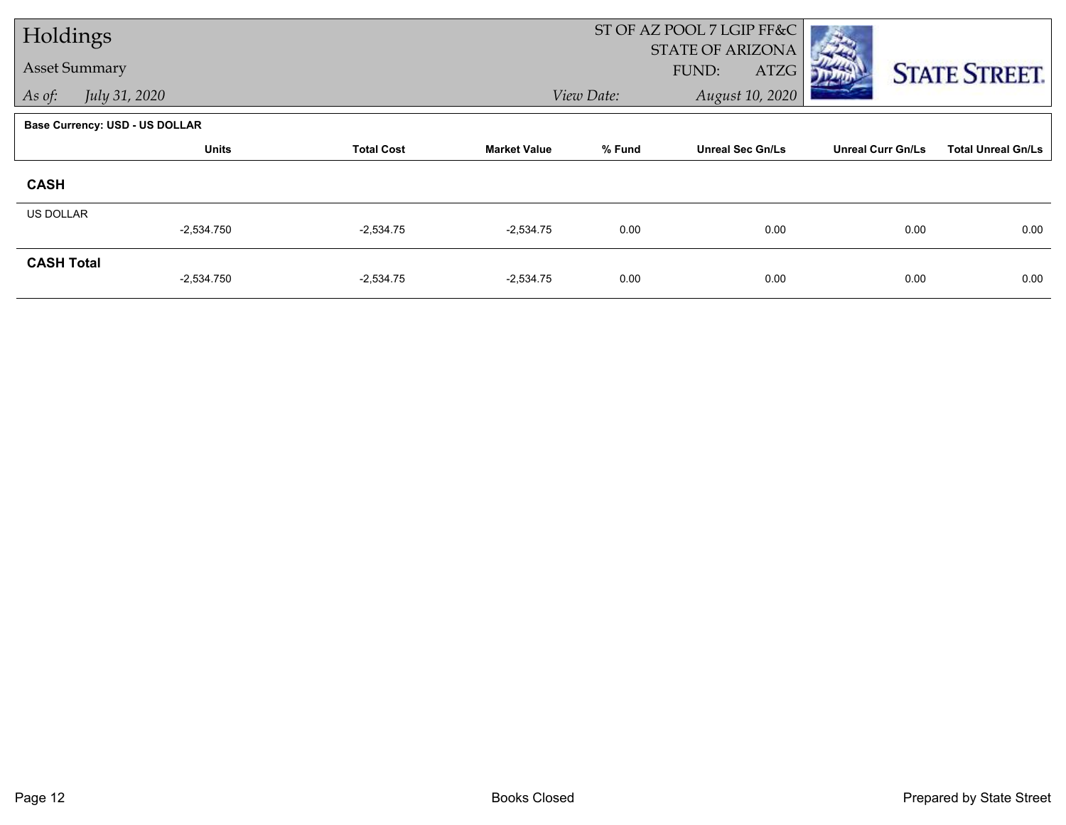| Holdings          |                                       |                   |                     |            | ST OF AZ POOL 7 LGIP FF&C<br>STATE OF ARIZONA |                          |                           |
|-------------------|---------------------------------------|-------------------|---------------------|------------|-----------------------------------------------|--------------------------|---------------------------|
|                   | <b>Asset Summary</b>                  |                   |                     |            | FUND:<br>ATZG                                 |                          | <b>STATE STREET.</b>      |
| As of:            | July 31, 2020                         |                   |                     | View Date: | August 10, 2020                               |                          |                           |
|                   | <b>Base Currency: USD - US DOLLAR</b> |                   |                     |            |                                               |                          |                           |
|                   | <b>Units</b>                          | <b>Total Cost</b> | <b>Market Value</b> | % Fund     | <b>Unreal Sec Gn/Ls</b>                       | <b>Unreal Curr Gn/Ls</b> | <b>Total Unreal Gn/Ls</b> |
| <b>CASH</b>       |                                       |                   |                     |            |                                               |                          |                           |
| <b>US DOLLAR</b>  |                                       |                   |                     |            |                                               |                          |                           |
|                   | $-2,534.750$                          | $-2,534.75$       | $-2,534.75$         | 0.00       | 0.00                                          | 0.00                     | 0.00                      |
| <b>CASH Total</b> | $-2,534.750$                          | $-2,534.75$       | $-2,534.75$         | 0.00       | 0.00                                          | 0.00                     | 0.00                      |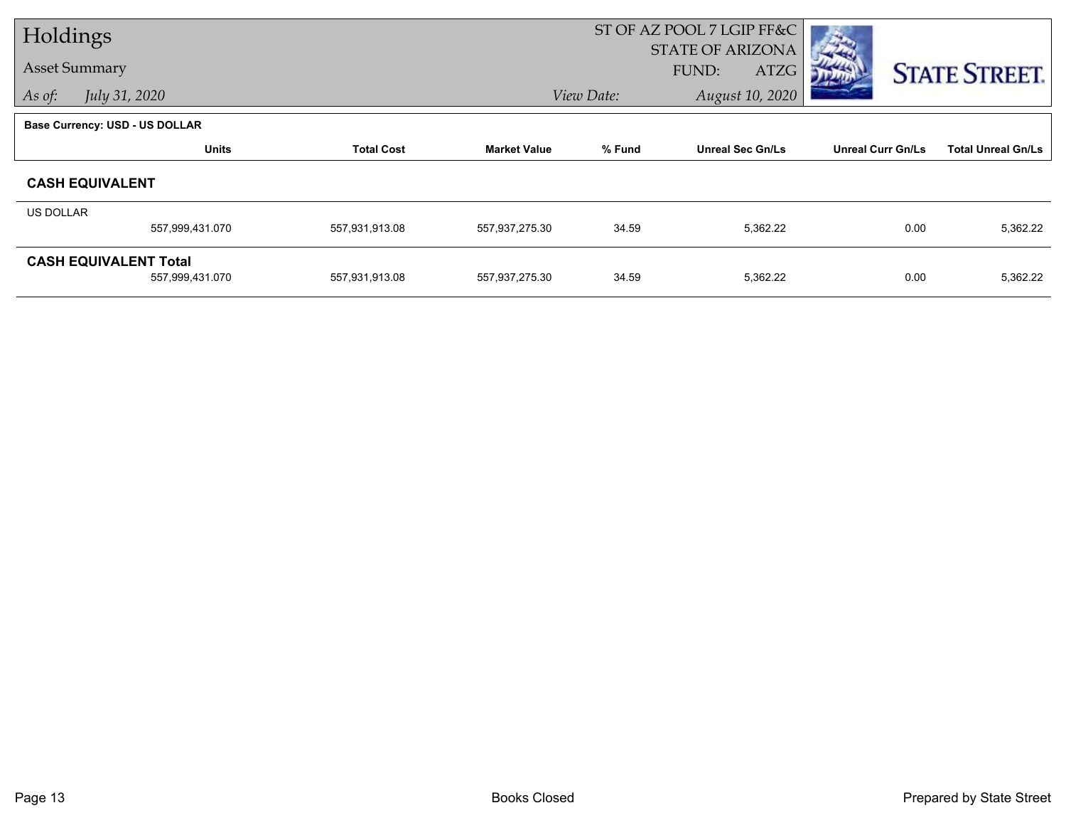| Holdings             |                                       |                   | ST OF AZ POOL 7 LGIP FF&C |                                          |                         |                          |                           |
|----------------------|---------------------------------------|-------------------|---------------------------|------------------------------------------|-------------------------|--------------------------|---------------------------|
| <b>Asset Summary</b> |                                       |                   |                           | <b>STATE OF ARIZONA</b><br>FUND:<br>ATZG |                         |                          |                           |
|                      |                                       |                   |                           |                                          |                         |                          | <b>STATE STREET.</b>      |
| As of:               | July 31, 2020                         |                   |                           | August 10, 2020<br>View Date:            |                         |                          |                           |
|                      | <b>Base Currency: USD - US DOLLAR</b> |                   |                           |                                          |                         |                          |                           |
|                      | <b>Units</b>                          | <b>Total Cost</b> | <b>Market Value</b>       | % Fund                                   | <b>Unreal Sec Gn/Ls</b> | <b>Unreal Curr Gn/Ls</b> | <b>Total Unreal Gn/Ls</b> |
|                      | <b>CASH EQUIVALENT</b>                |                   |                           |                                          |                         |                          |                           |
| US DOLLAR            |                                       |                   |                           |                                          |                         |                          |                           |
|                      | 557,999,431.070                       | 557,931,913.08    | 557,937,275.30            | 34.59                                    | 5,362.22                | 0.00                     | 5,362.22                  |
|                      | <b>CASH EQUIVALENT Total</b>          |                   |                           |                                          |                         |                          |                           |
|                      | 557,999,431.070                       | 557,931,913.08    | 557,937,275.30            | 34.59                                    | 5,362.22                | 0.00                     | 5,362.22                  |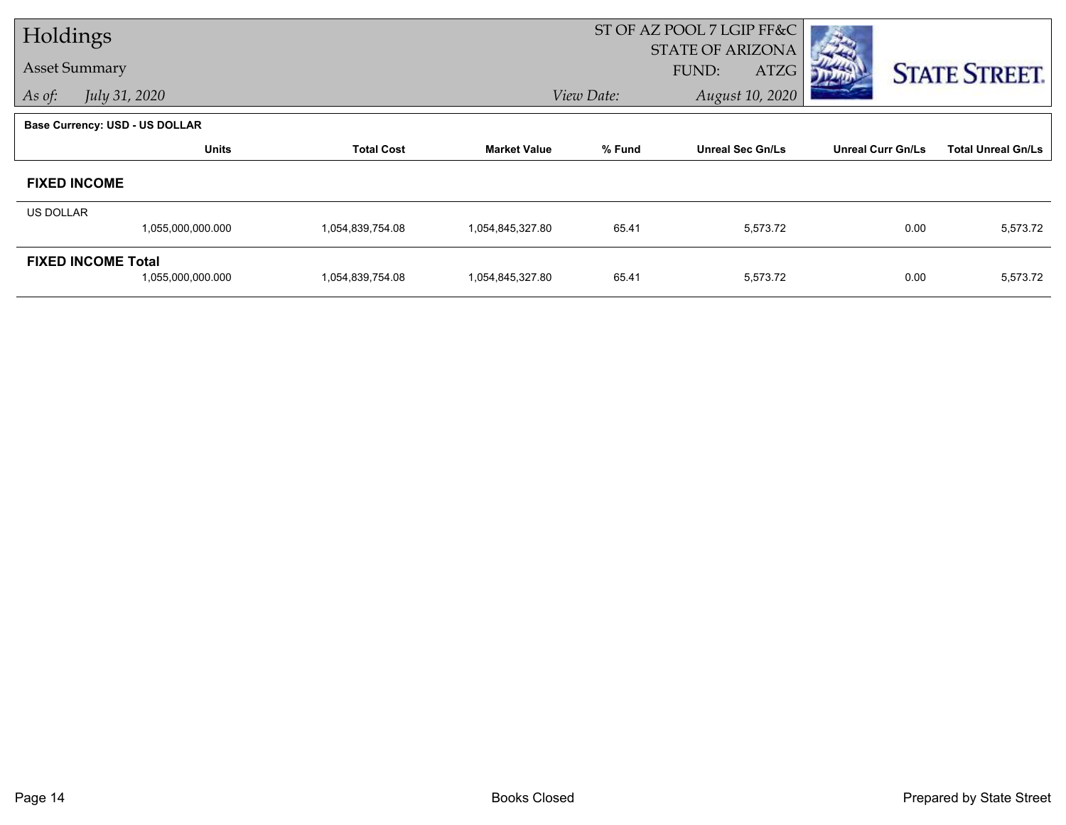| Holdings  |                                                |                   |                     |            | ST OF AZ POOL 7 LGIP FF&C                |                          |                           |
|-----------|------------------------------------------------|-------------------|---------------------|------------|------------------------------------------|--------------------------|---------------------------|
|           | <b>Asset Summary</b>                           |                   |                     |            | <b>STATE OF ARIZONA</b><br>ATZG<br>FUND: |                          | <b>STATE STREET.</b>      |
| As of:    | July 31, 2020                                  |                   |                     | View Date: | August 10, 2020                          |                          |                           |
|           | <b>Base Currency: USD - US DOLLAR</b>          |                   |                     |            |                                          |                          |                           |
|           | <b>Units</b>                                   | <b>Total Cost</b> | <b>Market Value</b> | % Fund     | <b>Unreal Sec Gn/Ls</b>                  | <b>Unreal Curr Gn/Ls</b> | <b>Total Unreal Gn/Ls</b> |
|           | <b>FIXED INCOME</b>                            |                   |                     |            |                                          |                          |                           |
| US DOLLAR |                                                |                   |                     |            |                                          |                          |                           |
|           | 1,055,000,000.000                              | 1,054,839,754.08  | 1,054,845,327.80    | 65.41      | 5,573.72                                 | 0.00                     | 5,573.72                  |
|           | <b>FIXED INCOME Total</b><br>1,055,000,000.000 | 1,054,839,754.08  | 1,054,845,327.80    | 65.41      | 5,573.72                                 | 0.00                     | 5,573.72                  |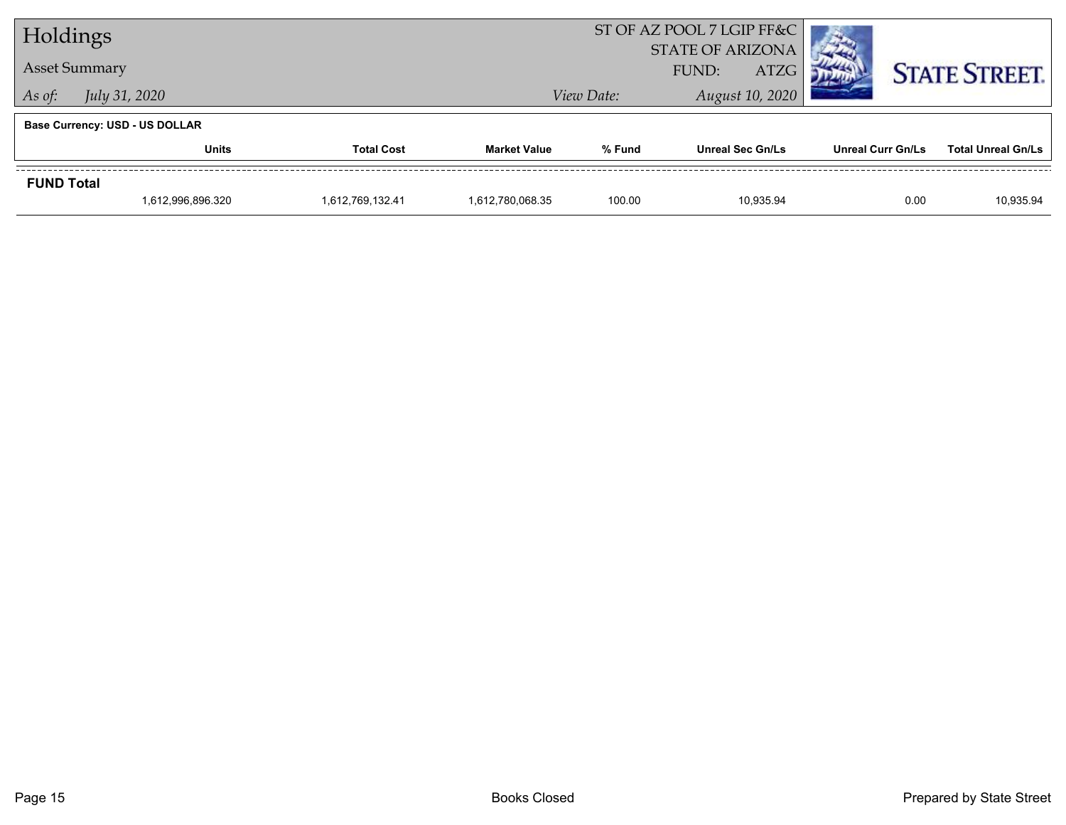| Holdings                       |                                       |                  |                                                 | ST OF AZ POOL 7 LGIP FF&C |                         |                          |                           |
|--------------------------------|---------------------------------------|------------------|-------------------------------------------------|---------------------------|-------------------------|--------------------------|---------------------------|
| <b>Asset Summary</b>           |                                       |                  | <b>STATE OF ARIZONA</b><br><b>ATZG</b><br>FUND: |                           |                         | <b>STATE STREET.</b>     |                           |
| <i>July 31, 2020</i><br>As of: |                                       |                  | View Date:                                      |                           |                         |                          |                           |
|                                | <b>Base Currency: USD - US DOLLAR</b> |                  |                                                 |                           |                         |                          |                           |
|                                | <b>Units</b><br><b>Total Cost</b>     |                  | <b>Market Value</b>                             | % Fund                    | <b>Unreal Sec Gn/Ls</b> | <b>Unreal Curr Gn/Ls</b> | <b>Total Unreal Gn/Ls</b> |
| <b>FUND Total</b>              |                                       |                  |                                                 |                           |                         |                          |                           |
|                                | 1,612,996,896.320                     | 1,612,769,132.41 | 1,612,780,068.35                                | 100.00                    | 10.935.94               | 0.00                     | 10,935.94                 |